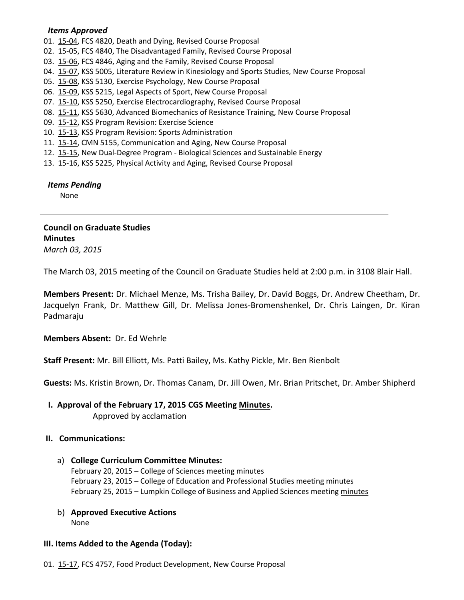#### *Items Approved*

01. [15-04,](http://castle.eiu.edu/~eiucgs/currentagendaitems/agenda15-04.pdf) FCS 4820, Death and Dying, Revised Course Proposal

- 02. [15-05,](http://castle.eiu.edu/~eiucgs/currentagendaitems/agenda15-05.pdf) FCS 4840, The Disadvantaged Family, Revised Course Proposal
- 03. [15-06,](http://castle.eiu.edu/~eiucgs/currentagendaitems/agenda15-06.pdf) FCS 4846, Aging and the Family, Revised Course Proposal
- 04. [15-07,](http://castle.eiu.edu/~eiucgs/currentagendaitems/agenda15-07.pdf) KSS 5005, Literature Review in Kinesiology and Sports Studies, New Course Proposal
- 05. [15-08,](http://castle.eiu.edu/~eiucgs/currentagendaitems/agenda15-08.pdf) KSS 5130, Exercise Psychology, New Course Proposal
- 06. [15-09,](http://castle.eiu.edu/~eiucgs/currentagendaitems/agenda15-09.pdf) KSS 5215, Legal Aspects of Sport, New Course Proposal
- 07. [15-10,](http://castle.eiu.edu/~eiucgs/currentagendaitems/agenda15-10.pdf) KSS 5250, Exercise Electrocardiography, Revised Course Proposal
- 08. [15-11,](http://castle.eiu.edu/~eiucgs/currentagendaitems/agenda15-11.pdf) KSS 5630, Advanced Biomechanics of Resistance Training, New Course Proposal
- 09. [15-12,](http://castle.eiu.edu/~eiucgs/currentagendaitems/agenda15-12.pdf) KSS Program Revision: Exercise Science
- 10. [15-13,](http://castle.eiu.edu/~eiucgs/currentagendaitems/agenda15-13.pdf) KSS Program Revision: Sports Administration
- 11. [15-14,](http://castle.eiu.edu/~eiucgs/currentagendaitems/agenda15-14.pdf) CMN 5155, Communication and Aging, New Course Proposal
- 12. [15-15,](http://castle.eiu.edu/~eiucgs/currentagendaitems/agenda15-15.pdf) New Dual-Degree Program Biological Sciences and Sustainable Energy
- 13. [15-16,](http://castle.eiu.edu/~eiucgs/currentagendaitems/agenda15-16.pdf) KSS 5225, Physical Activity and Aging, Revised Course Proposal

 *Items Pending*

None

## **Council on Graduate Studies Minutes** *March 03, 2015*

The March 03, 2015 meeting of the Council on Graduate Studies held at 2:00 p.m. in 3108 Blair Hall.

**Members Present:** Dr. Michael Menze, Ms. Trisha Bailey, Dr. David Boggs, Dr. Andrew Cheetham, Dr. Jacquelyn Frank, Dr. Matthew Gill, Dr. Melissa Jones-Bromenshenkel, Dr. Chris Laingen, Dr. Kiran Padmaraju

**Members Absent:** Dr. Ed Wehrle

**Staff Present:** Mr. Bill Elliott, Ms. Patti Bailey, Ms. Kathy Pickle, Mr. Ben Rienbolt

**Guests:** Ms. Kristin Brown, Dr. Thomas Canam, Dr. Jill Owen, Mr. Brian Pritschet, Dr. Amber Shipherd

**I. Approval of the February 17, 2015 CGS Meeting [Minutes.](http://castle.eiu.edu/eiucgs/currentminutes/Minutes02-17-15.pdf)** Approved by acclamation

# **II. Communications:**

- a) **College Curriculum Committee Minutes:** February 20, 2015 – College of Sciences meeting [minutes](http://castle.eiu.edu/~eiucgs/currentagendaitems/COSMin02-20-15.pdf) February 23, 2015 – College of Education and Professional Studies meeting [minutes](http://castle.eiu.edu/~eiucgs/currentagendaitems/CEPSMin02-23-15.pdf) February 25, 2015 – Lumpkin College of Business and Applied Sciences meetin[g minutes](http://castle.eiu.edu/~eiucgs/currentagendaitems/LCBASMin02-25-15.pdf)
- b) **Approved Executive Actions** None

### **III. Items Added to the Agenda (Today):**

01. [15-17,](http://castle.eiu.edu/~eiucgs/currentagendaitems/agenda15-17.pdf) FCS 4757, Food Product Development, New Course Proposal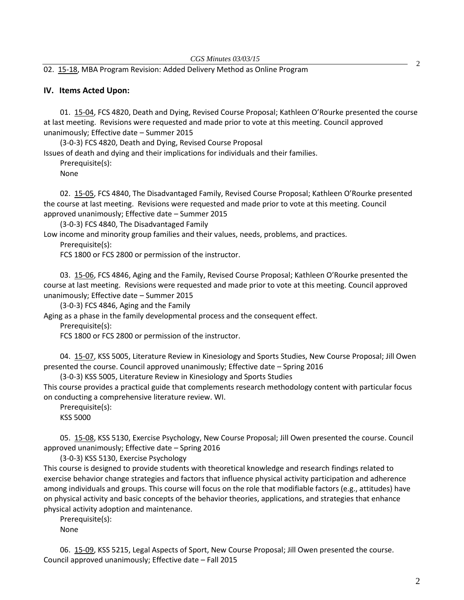#### 02. [15-18,](http://castle.eiu.edu/~eiucgs/currentagendaitems/agenda15-18.pdf) MBA Program Revision: Added Delivery Method as Online Program

#### **IV. Items Acted Upon:**

01. [15-04,](http://castle.eiu.edu/~eiucgs/currentagendaitems/agenda15-04.pdf) FCS 4820, Death and Dying, Revised Course Proposal; Kathleen O'Rourke presented the course at last meeting. Revisions were requested and made prior to vote at this meeting. Council approved unanimously; Effective date – Summer 2015

(3-0-3) FCS 4820, Death and Dying, Revised Course Proposal Issues of death and dying and their implications for individuals and their families.

Prerequisite(s): None

02. [15-05,](http://castle.eiu.edu/~eiucgs/currentagendaitems/agenda15-05.pdf) FCS 4840, The Disadvantaged Family, Revised Course Proposal; Kathleen O'Rourke presented the course at last meeting. Revisions were requested and made prior to vote at this meeting. Council approved unanimously; Effective date – Summer 2015

(3-0-3) FCS 4840, The Disadvantaged Family

Low income and minority group families and their values, needs, problems, and practices.

Prerequisite(s):

FCS 1800 or FCS 2800 or permission of the instructor.

03. [15-06,](http://castle.eiu.edu/~eiucgs/currentagendaitems/agenda15-06.pdf) FCS 4846, Aging and the Family, Revised Course Proposal; Kathleen O'Rourke presented the course at last meeting. Revisions were requested and made prior to vote at this meeting. Council approved unanimously; Effective date – Summer 2015

(3-0-3) FCS 4846, Aging and the Family

Aging as a phase in the family developmental process and the consequent effect.

Prerequisite(s):

FCS 1800 or FCS 2800 or permission of the instructor.

04. [15-07,](http://castle.eiu.edu/~eiucgs/currentagendaitems/agenda15-07.pdf) KSS 5005, Literature Review in Kinesiology and Sports Studies, New Course Proposal; Jill Owen presented the course. Council approved unanimously; Effective date – Spring 2016

(3-0-3) KSS 5005, Literature Review in Kinesiology and Sports Studies

This course provides a practical guide that complements research methodology content with particular focus on conducting a comprehensive literature review. WI.

Prerequisite(s):

KSS 5000

05. [15-08,](http://castle.eiu.edu/~eiucgs/currentagendaitems/agenda15-08.pdf) KSS 5130, Exercise Psychology, New Course Proposal; Jill Owen presented the course. Council approved unanimously; Effective date – Spring 2016

(3-0-3) KSS 5130, Exercise Psychology

This course is designed to provide students with theoretical knowledge and research findings related to exercise behavior change strategies and factors that influence physical activity participation and adherence among individuals and groups. This course will focus on the role that modifiable factors (e.g., attitudes) have on physical activity and basic concepts of the behavior theories, applications, and strategies that enhance physical activity adoption and maintenance.

Prerequisite(s): None

06. [15-09,](http://castle.eiu.edu/~eiucgs/currentagendaitems/agenda15-09.pdf) KSS 5215, Legal Aspects of Sport, New Course Proposal; Jill Owen presented the course. Council approved unanimously; Effective date – Fall 2015

2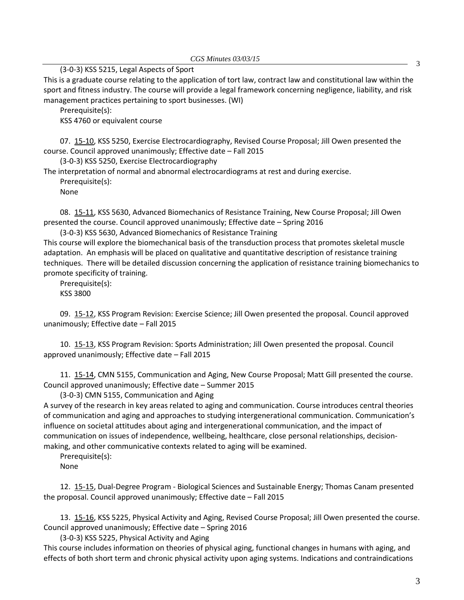(3-0-3) KSS 5215, Legal Aspects of Sport

This is a graduate course relating to the application of tort law, contract law and constitutional law within the sport and fitness industry. The course will provide a legal framework concerning negligence, liability, and risk management practices pertaining to sport businesses. (WI)

Prerequisite(s):

KSS 4760 or equivalent course

07. [15-10,](http://castle.eiu.edu/~eiucgs/currentagendaitems/agenda15-10.pdf) KSS 5250, Exercise Electrocardiography, Revised Course Proposal; Jill Owen presented the course. Council approved unanimously; Effective date – Fall 2015

(3-0-3) KSS 5250, Exercise Electrocardiography

The interpretation of normal and abnormal electrocardiograms at rest and during exercise.

Prerequisite(s):

None

08. [15-11,](http://castle.eiu.edu/~eiucgs/currentagendaitems/agenda15-11.pdf) KSS 5630, Advanced Biomechanics of Resistance Training, New Course Proposal; Jill Owen presented the course. Council approved unanimously; Effective date – Spring 2016

(3-0-3) KSS 5630, Advanced Biomechanics of Resistance Training

This course will explore the biomechanical basis of the transduction process that promotes skeletal muscle adaptation. An emphasis will be placed on qualitative and quantitative description of resistance training techniques. There will be detailed discussion concerning the application of resistance training biomechanics to promote specificity of training.

Prerequisite(s):

KSS 3800

09. [15-12,](http://castle.eiu.edu/~eiucgs/currentagendaitems/agenda15-12.pdf) KSS Program Revision: Exercise Science; Jill Owen presented the proposal. Council approved unanimously; Effective date – Fall 2015

10. [15-13,](http://castle.eiu.edu/~eiucgs/currentagendaitems/agenda15-13.pdf) KSS Program Revision: Sports Administration; Jill Owen presented the proposal. Council approved unanimously; Effective date – Fall 2015

11. [15-14,](http://castle.eiu.edu/~eiucgs/currentagendaitems/agenda15-14.pdf) CMN 5155, Communication and Aging, New Course Proposal; Matt Gill presented the course. Council approved unanimously; Effective date – Summer 2015

(3-0-3) CMN 5155, Communication and Aging

A survey of the research in key areas related to aging and communication. Course introduces central theories of communication and aging and approaches to studying intergenerational communication. Communication's influence on societal attitudes about aging and intergenerational communication, and the impact of communication on issues of independence, wellbeing, healthcare, close personal relationships, decisionmaking, and other communicative contexts related to aging will be examined.

Prerequisite(s): None

12. [15-15,](http://castle.eiu.edu/~eiucgs/currentagendaitems/agenda15-15.pdf) Dual-Degree Program - Biological Sciences and Sustainable Energy; Thomas Canam presented the proposal. Council approved unanimously; Effective date – Fall 2015

13. [15-16,](http://castle.eiu.edu/~eiucgs/currentagendaitems/agenda15-16.pdf) KSS 5225, Physical Activity and Aging, Revised Course Proposal; Jill Owen presented the course. Council approved unanimously; Effective date – Spring 2016

(3-0-3) KSS 5225, Physical Activity and Aging

This course includes information on theories of physical aging, functional changes in humans with aging, and effects of both short term and chronic physical activity upon aging systems. Indications and contraindications

3